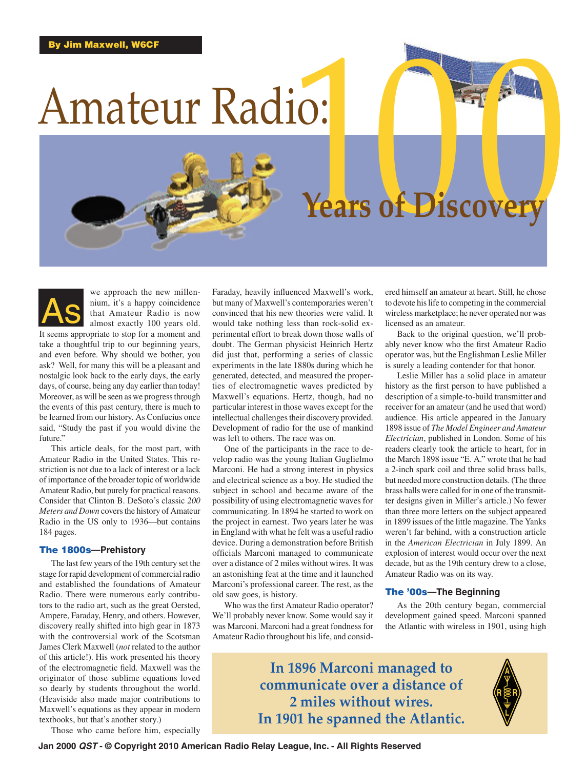# Amateur Radio:

# Years of Discovery

we approach the new millennium, it's a happy coincidence that Amateur Radio is now almost exactly 100 years old. It seems appropriate to stop for a moment and take a thoughtful trip to our beginning years, and even before. Why should we bother, you ask? Well, for many this will be a pleasant and nostalgic look back to the early days, the early days, of course, being any day earlier than today! Moreover, as will be seen as we progress through the events of this past century, there is much to be learned from our history. As Confucius once said, "Study the past if you would divine the future." As

This article deals, for the most part, with Amateur Radio in the United States. This restriction is not due to a lack of interest or a lack of importance of the broader topic of worldwide Amateur Radio, but purely for practical reasons. Consider that Clinton B. DeSoto's classic *200 Meters and Down* covers the history of Amateur Radio in the US only to 1936—but contains 184 pages.

#### The 1800s**—Prehistory**

The last few years of the 19th century set the stage for rapid development of commercial radio and established the foundations of Amateur Radio. There were numerous early contributors to the radio art, such as the great Oersted, Ampere, Faraday, Henry, and others. However, discovery really shifted into high gear in 1873 with the controversial work of the Scotsman James Clerk Maxwell (*not* related to the author of this article!). His work presented his theory of the electromagnetic field. Maxwell was the originator of those sublime equations loved so dearly by students throughout the world. (Heaviside also made major contributions to Maxwell's equations as they appear in modern textbooks, but that's another story.)

Those who came before him, especially

Faraday, heavily influenced Maxwell's work, but many of Maxwell's contemporaries weren't convinced that his new theories were valid. It would take nothing less than rock-solid experimental effort to break down those walls of doubt. The German physicist Heinrich Hertz did just that, performing a series of classic experiments in the late 1880s during which he generated, detected, and measured the properties of electromagnetic waves predicted by Maxwell's equations. Hertz, though, had no particular interest in those waves except for the intellectual challenges their discovery provided. Development of radio for the use of mankind was left to others. The race was on.

One of the participants in the race to develop radio was the young Italian Guglielmo Marconi. He had a strong interest in physics and electrical science as a boy. He studied the subject in school and became aware of the possibility of using electromagnetic waves for communicating. In 1894 he started to work on the project in earnest. Two years later he was in England with what he felt was a useful radio device. During a demonstration before British officials Marconi managed to communicate over a distance of 2 miles without wires. It was an astonishing feat at the time and it launched Marconi's professional career. The rest, as the old saw goes, is history.

Who was the first Amateur Radio operator? We'll probably never know. Some would say it was Marconi. Marconi had a great fondness for Amateur Radio throughout his life, and considered himself an amateur at heart. Still, he chose to devote his life to competing in the commercial wireless marketplace; he never operated nor was licensed as an amateur.

Back to the original question, we'll probably never know who the first Amateur Radio operator was, but the Englishman Leslie Miller is surely a leading contender for that honor.

Leslie Miller has a solid place in amateur history as the first person to have published a description of a simple-to-build transmitter and receiver for an amateur (and he used that word) audience. His article appeared in the January 1898 issue of *The Model Engineer and Amateur Electrician*, published in London. Some of his readers clearly took the article to heart, for in the March 1898 issue "E. A." wrote that he had a 2-inch spark coil and three solid brass balls, but needed more construction details. (The three brass balls were called for in one of the transmitter designs given in Miller's article.) No fewer than three more letters on the subject appeared in 1899 issues of the little magazine. The Yanks weren't far behind, with a construction article in the *American Electrician* in July 1899. An explosion of interest would occur over the next decade, but as the 19th century drew to a close, Amateur Radio was on its way.

#### The '00s**—The Beginning**

As the 20th century began, commercial development gained speed. Marconi spanned the Atlantic with wireless in 1901, using high

**In 1896 Marconi managed to communicate over a distance of 2 miles without wires. In 1901 he spanned the Atlantic.**

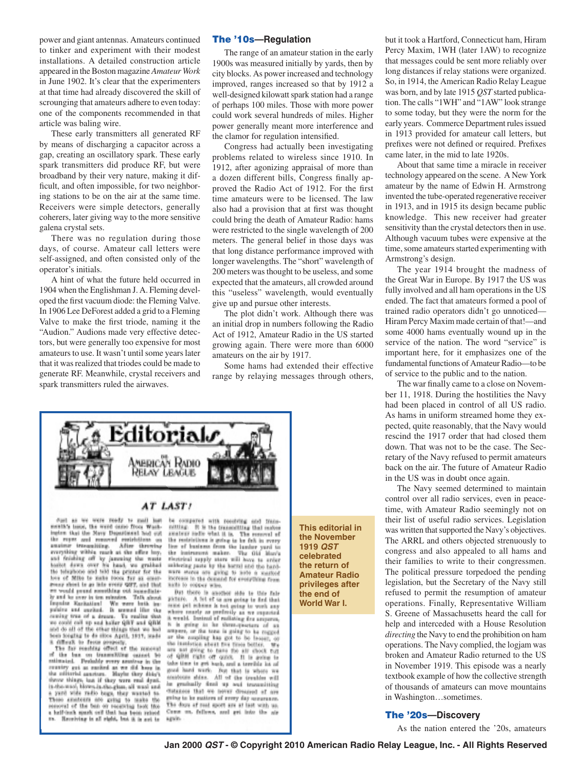power and giant antennas. Amateurs continued to tinker and experiment with their modest installations. A detailed construction article appeared in the Boston magazine *Amateur Work* in June 1902. It's clear that the experimenters at that time had already discovered the skill of scrounging that amateurs adhere to even today: one of the components recommended in that article was baling wire.

These early transmitters all generated RF by means of discharging a capacitor across a gap, creating an oscillatory spark. These early spark transmitters did produce RF, but were broadband by their very nature, making it difficult, and often impossible, for two neighboring stations to be on the air at the same time. Receivers were simple detectors, generally coherers, later giving way to the more sensitive galena crystal sets.

There was no regulation during those days, of course. Amateur call letters were self-assigned, and often consisted only of the operator's initials.

A hint of what the future held occurred in 1904 when the Englishman J. A. Fleming developed the first vacuum diode: the Fleming Valve. In 1906 Lee DeForest added a grid to a Fleming Valve to make the first triode, naming it the "Audion." Audions made very effective detectors, but were generally too expensive for most amateurs to use. It wasn't until some years later that it was realized that triodes could be made to generate RF. Meanwhile, crystal receivers and spark transmitters ruled the airwaves.

#### The '10s**—Regulation**

The range of an amateur station in the early 1900s was measured initially by yards, then by city blocks. As power increased and technology improved, ranges increased so that by 1912 a well-designed kilowatt spark station had a range of perhaps 100 miles. Those with more power could work several hundreds of miles. Higher power generally meant more interference and the clamor for regulation intensified.

Congress had actually been investigating problems related to wireless since 1910. In 1912, after agonizing appraisal of more than a dozen different bills, Congress finally approved the Radio Act of 1912. For the first time amateurs were to be licensed. The law also had a provision that at first was thought could bring the death of Amateur Radio: hams were restricted to the single wavelength of 200 meters. The general belief in those days was that long distance performance improved with longer wavelengths. The "short" wavelength of 200 meters was thought to be useless, and some expected that the amateurs, all crowded around this "useless" wavelength, would eventually give up and pursue other interests.

The plot didn't work. Although there was an initial drop in numbers following the Radio Act of 1912, Amateur Radio in the US started growing again. There were more than 6000 amateurs on the air by 1917.

Some hams had extended their effective range by relaying messages through others,



#### AT LAST!

Fort as we were ready to mell but menth's lesse, the word came from Wash-<br>implex that the Navy Department had out the repes and removed matricitions.<br>analme transmitting. After three After throwing everything within ranch at the effect large and ficialize off by jamening the wants basics down over his band, we grabbed the bilinghood and take the printer for the love of Mille to make room for an energener sheet to go into every QST, and that en vould proud somthing out immediate-Deaming Karikation! We were both in pulsing and exclud. It seemed like the resting true of a dresse, ving true of a dresse. To realize that<br>could call up and haller QBF and QBM and do all of the other things that we had<br>been longing to do since April, 1911, made differs. to feets properly. The removal

of the bas on transmitting cannet to country got as eached as we did here in throw things, but if they were real dyed is the wool, blown-is the glue, all wool and yard wide radio bugs, they wanted to These analogue are going to make 186 respond of the ban on receiving look the Hereiving is all right, but it is not to

be compared with receiving and transmitting. It is the transmitting that makes analyze indicated what it is. The reserved of the restrictions is going to be felt in every live of business from the lundur yard to the instrument maker. the instrument maker. The Old Mar's sakisring pasts by the horrel and the hardwere shores are going to pate a increase in the demand for everything from naths to copper who,

But there is another side to this fals A let of us are going to find that gicture. points. A mind the state and that<br>initial political is not going to work any<br>where easily as prefectly as we requested<br>A week! Instead of reducing for any of the line of the state of the<br> $\lambda$ is. to be three-quarters of in guing 10.00 ampers, or the tone is going to be regged or the coupling has got to be fasser, or the insulation should five fitten better. We see and going to taxe the air chock full of QBB right off quick. If is going to take time to get hack, and a territic int of good hard work. But that is where we ampleons shing. All of the treation will be gradually dood up and transmitting distances that we never dressed of are gaing to be matters of recey day accurance The days of real sport are at last with us, Come on, follows, and get into the air again.

**This editorial in the November 1919** *QST* **celebrated the return of Amateur Radio privileges after the end of World War I.**

but it took a Hartford, Connecticut ham, Hiram Percy Maxim, 1WH (later 1AW) to recognize that messages could be sent more reliably over long distances if relay stations were organized. So, in 1914, the American Radio Relay League was born, and by late 1915 *QST* started publication. The calls "1WH" and "1AW" look strange to some today, but they were the norm for the early years. Commerce Department rules issued in 1913 provided for amateur call letters, but prefixes were not defined or required. Prefixes came later, in the mid to late 1920s.

About that same time a miracle in receiver technology appeared on the scene. A New York amateur by the name of Edwin H. Armstrong invented the tube-operated regenerative receiver in 1913, and in 1915 its design became public knowledge. This new receiver had greater sensitivity than the crystal detectors then in use. Although vacuum tubes were expensive at the time, some amateurs started experimenting with Armstrong's design.

The year 1914 brought the madness of the Great War in Europe. By 1917 the US was fully involved and all ham operations in the US ended. The fact that amateurs formed a pool of trained radio operators didn't go unnoticed— Hiram Percy Maxim made certain of that!—and some 4000 hams eventually wound up in the service of the nation. The word "service" is important here, for it emphasizes one of the fundamental functions of Amateur Radio—to be of service to the public and to the nation.

The war finally came to a close on November 11, 1918. During the hostilities the Navy had been placed in control of all US radio. As hams in uniform streamed home they expected, quite reasonably, that the Navy would rescind the 1917 order that had closed them down. That was not to be the case. The Secretary of the Navy refused to permit amateurs back on the air. The future of Amateur Radio in the US was in doubt once again.

The Navy seemed determined to maintain control over all radio services, even in peacetime, with Amateur Radio seemingly not on their list of useful radio services. Legislation was written that supported the Navy's objectives. The ARRL and others objected strenuously to congress and also appealed to all hams and their families to write to their congressmen. The political pressure torpedoed the pending legislation, but the Secretary of the Navy still refused to permit the resumption of amateur operations. Finally, Representative William S. Greene of Massachusetts heard the call for help and interceded with a House Resolution *directing* the Navy to end the prohibition on ham operations. The Navy complied, the logjam was broken and Amateur Radio returned to the US in November 1919. This episode was a nearly textbook example of how the collective strength of thousands of amateurs can move mountains in Washington…sometimes.

#### The '20s**—Discovery**

As the nation entered the '20s, amateurs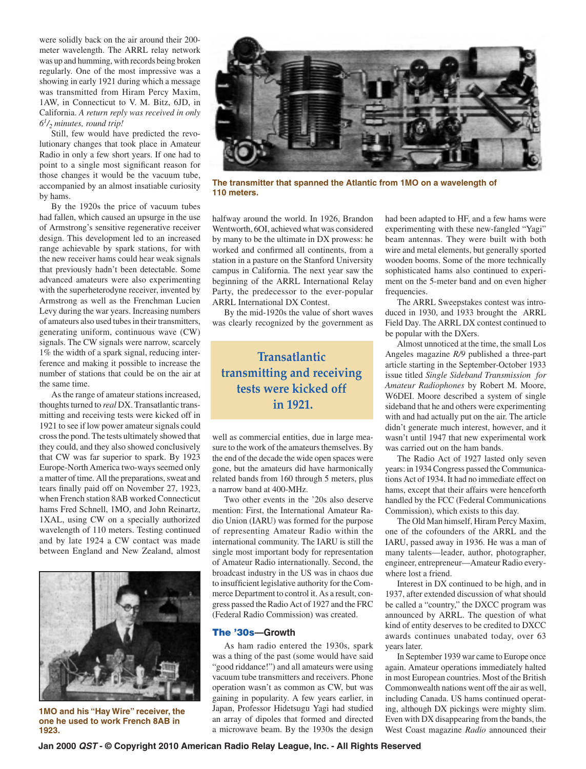were solidly back on the air around their 200 meter wavelength. The ARRL relay network was up and humming, with records being broken regularly. One of the most impressive was a showing in early 1921 during which a message was transmitted from Hiram Percy Maxim, 1AW, in Connecticut to V. M. Bitz, 6JD, in California. *A return reply was received in only 61/2 minutes, round trip!*

Still, few would have predicted the revolutionary changes that took place in Amateur Radio in only a few short years. If one had to point to a single most significant reason for those changes it would be the vacuum tube, accompanied by an almost insatiable curiosity by hams.

By the 1920s the price of vacuum tubes had fallen, which caused an upsurge in the use of Armstrong's sensitive regenerative receiver design. This development led to an increased range achievable by spark stations, for with the new receiver hams could hear weak signals that previously hadn't been detectable. Some advanced amateurs were also experimenting with the superheterodyne receiver, invented by Armstrong as well as the Frenchman Lucien Levy during the war years. Increasing numbers of amateurs also used tubes in their transmitters, generating uniform, continuous wave (CW) signals. The CW signals were narrow, scarcely 1% the width of a spark signal, reducing interference and making it possible to increase the number of stations that could be on the air at the same time.

As the range of amateur stations increased, thoughts turned to *real* DX. Transatlantic transmitting and receiving tests were kicked off in 1921 to see if low power amateur signals could cross the pond. The tests ultimately showed that they could, and they also showed conclusively that CW was far superior to spark. By 1923 Europe-North America two-ways seemed only a matter of time. All the preparations, sweat and tears finally paid off on November 27, 1923, when French station 8AB worked Connecticut hams Fred Schnell, 1MO, and John Reinartz, 1XAL, using CW on a specially authorized wavelength of 110 meters. Testing continued and by late 1924 a CW contact was made between England and New Zealand, almost



**1MO and his "Hay Wire" receiver, the one he used to work French 8AB in 1923.** 



**The transmitter that spanned the Atlantic from 1MO on a wavelength of 110 meters.**

halfway around the world. In 1926, Brandon Wentworth, 6OI, achieved what was considered by many to be the ultimate in DX prowess: he worked and confirmed all continents, from a station in a pasture on the Stanford University campus in California. The next year saw the beginning of the ARRL International Relay Party, the predecessor to the ever-popular ARRL International DX Contest.

By the mid-1920s the value of short waves was clearly recognized by the government as

## **Transatlantic transmitting and receiving tests were kicked off in 1921.**

well as commercial entities, due in large measure to the work of the amateurs themselves. By the end of the decade the wide open spaces were gone, but the amateurs did have harmonically related bands from 160 through 5 meters, plus a narrow band at 400-MHz.

Two other events in the '20s also deserve mention: First, the International Amateur Radio Union (IARU) was formed for the purpose of representing Amateur Radio within the international community. The IARU is still the single most important body for representation of Amateur Radio internationally. Second, the broadcast industry in the US was in chaos due to insufficient legislative authority for the Commerce Department to control it. As a result, congress passed the Radio Act of 1927 and the FRC (Federal Radio Commission) was created.

#### The '30s**—Growth**

As ham radio entered the 1930s, spark was a thing of the past (some would have said "good riddance!") and all amateurs were using vacuum tube transmitters and receivers. Phone operation wasn't as common as CW, but was gaining in popularity. A few years earlier, in Japan, Professor Hidetsugu Yagi had studied an array of dipoles that formed and directed a microwave beam. By the 1930s the design had been adapted to HF, and a few hams were experimenting with these new-fangled "Yagi" beam antennas. They were built with both wire and metal elements, but generally sported wooden booms. Some of the more technically sophisticated hams also continued to experiment on the 5-meter band and on even higher frequencies.

The ARRL Sweepstakes contest was introduced in 1930, and 1933 brought the ARRL Field Day. The ARRL DX contest continued to be popular with the DXers.

Almost unnoticed at the time, the small Los Angeles magazine *R/9* published a three-part article starting in the September-October 1933 issue titled *Single Sideband Transmission for Amateur Radiophones* by Robert M. Moore, W6DEI. Moore described a system of single sideband that he and others were experimenting with and had actually put on the air. The article didn't generate much interest, however, and it wasn't until 1947 that new experimental work was carried out on the ham bands.

The Radio Act of 1927 lasted only seven years: in 1934 Congress passed the Communications Act of 1934. It had no immediate effect on hams, except that their affairs were henceforth handled by the FCC (Federal Communications Commission), which exists to this day.

The Old Man himself, Hiram Percy Maxim, one of the cofounders of the ARRL and the IARU, passed away in 1936. He was a man of many talents—leader, author, photographer, engineer, entrepreneur—Amateur Radio everywhere lost a friend.

Interest in DX continued to be high, and in 1937, after extended discussion of what should be called a "country," the DXCC program was announced by ARRL. The question of what kind of entity deserves to be credited to DXCC awards continues unabated today, over 63 years later.

In September 1939 war came to Europe once again. Amateur operations immediately halted in most European countries. Most of the British Commonwealth nations went off the air as well, including Canada. US hams continued operating, although DX pickings were mighty slim. Even with DX disappearing from the bands, the West Coast magazine *Radio* announced their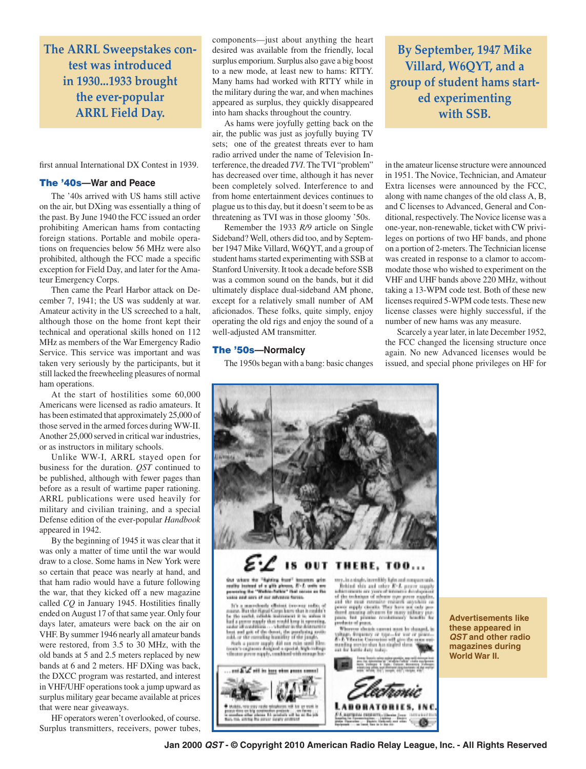**The ARRL Sweepstakes contest was introduced in 1930...1933 brought the ever-popular ARRL Field Day.**

first annual International DX Contest in 1939.

#### The '40s**—War and Peace**

The '40s arrived with US hams still active on the air, but DXing was essentially a thing of the past. By June 1940 the FCC issued an order prohibiting American hams from contacting foreign stations. Portable and mobile operations on frequencies below 56 MHz were also prohibited, although the FCC made a specific exception for Field Day, and later for the Amateur Emergency Corps.

Then came the Pearl Harbor attack on December 7, 1941; the US was suddenly at war. Amateur activity in the US screeched to a halt, although those on the home front kept their technical and operational skills honed on 112 MHz as members of the War Emergency Radio Service. This service was important and was taken very seriously by the participants, but it still lacked the freewheeling pleasures of normal ham operations.

At the start of hostilities some 60,000 Americans were licensed as radio amateurs. It has been estimated that approximately 25,000 of those served in the armed forces during WW-II. Another 25,000 served in critical war industries, or as instructors in military schools.

Unlike WW-I, ARRL stayed open for business for the duration. *QST* continued to be published, although with fewer pages than before as a result of wartime paper rationing. ARRL publications were used heavily for military and civilian training, and a special Defense edition of the ever-popular *Handbook* appeared in 1942.

By the beginning of 1945 it was clear that it was only a matter of time until the war would draw to a close. Some hams in New York were so certain that peace was nearly at hand, and that ham radio would have a future following the war, that they kicked off a new magazine called *CQ* in January 1945. Hostilities finally ended on August 17 of that same year. Only four days later, amateurs were back on the air on VHF. By summer 1946 nearly all amateur bands were restored, from 3.5 to 30 MHz, with the old bands at 5 and 2.5 meters replaced by new bands at 6 and 2 meters. HF DXing was back, the DXCC program was restarted, and interest in VHF/UHF operations took a jump upward as surplus military gear became available at prices that were near giveaways.

HF operators weren't overlooked, of course. Surplus transmitters, receivers, power tubes, components—just about anything the heart desired was available from the friendly, local surplus emporium. Surplus also gave a big boost to a new mode, at least new to hams: RTTY. Many hams had worked with RTTY while in the military during the war, and when machines appeared as surplus, they quickly disappeared into ham shacks throughout the country.

As hams were joyfully getting back on the air, the public was just as joyfully buying TV sets; one of the greatest threats ever to ham radio arrived under the name of Television Interference, the dreaded *TVI*. The TVI "problem" has decreased over time, although it has never been completely solved. Interference to and from home entertainment devices continues to plague us to this day, but it doesn't seem to be as threatening as TVI was in those gloomy '50s.

Remember the 1933 *R/9* article on Single Sideband? Well, others did too, and by September 1947 Mike Villard, W6QYT, and a group of student hams started experimenting with SSB at Stanford University. It took a decade before SSB was a common sound on the bands, but it did ultimately displace dual-sideband AM phone, except for a relatively small number of AM aficionados. These folks, quite simply, enjoy operating the old rigs and enjoy the sound of a well-adjusted AM transmitter.

#### The '50s**—Normalcy**

The 1950s began with a bang: basic changes

**By September, 1947 Mike Villard, W6QYT, and a group of student hams started experimenting with SSB.**

in the amateur license structure were announced in 1951. The Novice, Technician, and Amateur Extra licenses were announced by the FCC, along with name changes of the old class A, B, and C licenses to Advanced, General and Conditional, respectively. The Novice license was a one-year, non-renewable, ticket with CW privileges on portions of two HF bands, and phone on a portion of 2-meters. The Technician license was created in response to a clamor to accommodate those who wished to experiment on the VHF and UHF bands above 220 MHz, without taking a 13-WPM code test. Both of these new licenses required 5-WPM code tests. These new license classes were highly successful, if the number of new hams was any measure.

Scarcely a year later, in late December 1952, the FCC changed the licensing structure once again. No new Advanced licenses would be issued, and special phone privileges on HF for



**Advertisements like these appeared in**  *QST* **and other radio magazines during World War II.**

**Jan 2000** *QST* **- © Copyright 2010 American Radio Relay League, Inc. - All Rights Reserved**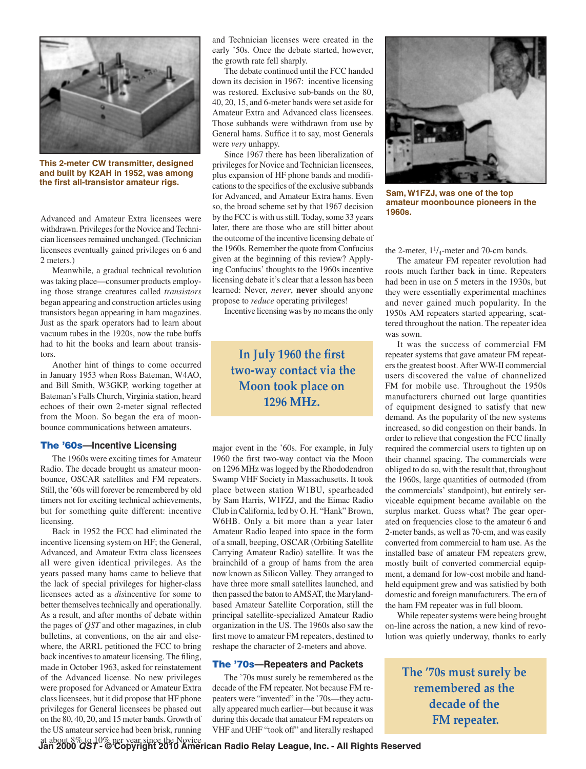

**This 2-meter CW transmitter, designed and built by K2AH in 1952, was among the first all-transistor amateur rigs.**

Advanced and Amateur Extra licensees were withdrawn. Privileges for the Novice and Technician licensees remained unchanged. (Technician licensees eventually gained privileges on 6 and 2 meters.)

Meanwhile, a gradual technical revolution was taking place—consumer products employing those strange creatures called *transistors* began appearing and construction articles using transistors began appearing in ham magazines. Just as the spark operators had to learn about vacuum tubes in the 1920s, now the tube buffs had to hit the books and learn about transistors.

Another hint of things to come occurred in January 1953 when Ross Bateman, W4AO, and Bill Smith, W3GKP, working together at Bateman's Falls Church, Virginia station, heard echoes of their own 2-meter signal reflected from the Moon. So began the era of moonbounce communications between amateurs.

#### The '60s**—Incentive Licensing**

The 1960s were exciting times for Amateur Radio. The decade brought us amateur moonbounce, OSCAR satellites and FM repeaters. Still, the '60s will forever be remembered by old timers not for exciting technical achievements, but for something quite different: incentive licensing.

Back in 1952 the FCC had eliminated the incentive licensing system on HF; the General, Advanced, and Amateur Extra class licensees all were given identical privileges. As the years passed many hams came to believe that the lack of special privileges for higher-class licensees acted as a *dis*incentive for some to better themselves technically and operationally. As a result, and after months of debate within the pages of *QST* and other magazines, in club bulletins, at conventions, on the air and elsewhere, the ARRL petitioned the FCC to bring back incentives to amateur licensing. The filing, made in October 1963, asked for reinstatement of the Advanced license. No new privileges were proposed for Advanced or Amateur Extra class licensees, but it did propose that HF phone privileges for General licensees be phased out on the 80, 40, 20, and 15 meter bands. Growth of the US amateur service had been brisk, running

and Technician licenses were created in the early '50s. Once the debate started, however, the growth rate fell sharply.

The debate continued until the FCC handed down its decision in 1967: incentive licensing was restored. Exclusive sub-bands on the 80, 40, 20, 15, and 6-meter bands were set aside for Amateur Extra and Advanced class licensees. Those subbands were withdrawn from use by General hams. Suffice it to say, most Generals were *very* unhappy.

Since 1967 there has been liberalization of privileges for Novice and Technician licensees, plus expansion of HF phone bands and modifications to the specifics of the exclusive subbands for Advanced, and Amateur Extra hams. Even so, the broad scheme set by that 1967 decision by the FCC is with us still. Today, some 33 years later, there are those who are still bitter about the outcome of the incentive licensing debate of the 1960s. Remember the quote from Confucius given at the beginning of this review? Applying Confucius' thoughts to the 1960s incentive licensing debate it's clear that a lesson has been learned: Never, *never*, **never** should anyone propose to *reduce* operating privileges!

Incentive licensing was by no means the only

### **In July 1960 the first two-way contact via the Moon took place on 1296 MHz.**

major event in the '60s. For example, in July 1960 the first two-way contact via the Moon on 1296 MHz was logged by the Rhododendron Swamp VHF Society in Massachusetts. It took place between station W1BU, spearheaded by Sam Harris, W1FZJ, and the Eimac Radio Club in California, led by O. H. "Hank" Brown, W6HB. Only a bit more than a year later Amateur Radio leaped into space in the form of a small, beeping, OSCAR (Orbiting Satellite Carrying Amateur Radio) satellite. It was the brainchild of a group of hams from the area now known as Silicon Valley. They arranged to have three more small satellites launched, and then passed the baton to AMSAT, the Marylandbased Amateur Satellite Corporation, still the principal satellite-specialized Amateur Radio organization in the US. The 1960s also saw the first move to amateur FM repeaters, destined to reshape the character of 2-meters and above.

#### The '70s**—Repeaters and Packets**

The '70s must surely be remembered as the decade of the FM repeater. Not because FM repeaters were "invented" in the '70s—they actually appeared much earlier—but because it was during this decade that amateur FM repeaters on VHF and UHF "took off" and literally reshaped



**Sam, W1FZJ, was one of the top amateur moonbounce pioneers in the 1960s.** 

the 2-meter,  $1\frac{1}{4}$ -meter and 70-cm bands.

The amateur FM repeater revolution had roots much farther back in time. Repeaters had been in use on 5 meters in the 1930s, but they were essentially experimental machines and never gained much popularity. In the 1950s AM repeaters started appearing, scattered throughout the nation. The repeater idea was sown.

It was the success of commercial FM repeater systems that gave amateur FM repeaters the greatest boost. After WW-II commercial users discovered the value of channelized FM for mobile use. Throughout the 1950s manufacturers churned out large quantities of equipment designed to satisfy that new demand. As the popularity of the new systems increased, so did congestion on their bands. In order to relieve that congestion the FCC finally required the commercial users to tighten up on their channel spacing. The commercials were obliged to do so, with the result that, throughout the 1960s, large quantities of outmoded (from the commercials' standpoint), but entirely serviceable equipment became available on the surplus market. Guess what? The gear operated on frequencies close to the amateur 6 and 2-meter bands, as well as 70-cm, and was easily converted from commercial to ham use. As the installed base of amateur FM repeaters grew, mostly built of converted commercial equipment, a demand for low-cost mobile and handheld equipment grew and was satisfied by both domestic and foreign manufacturers. The era of the ham FM repeater was in full bloom.

While repeater systems were being brought on-line across the nation, a new kind of revolution was quietly underway, thanks to early

> **The '70s must surely be remembered as the decade of the FM repeater.**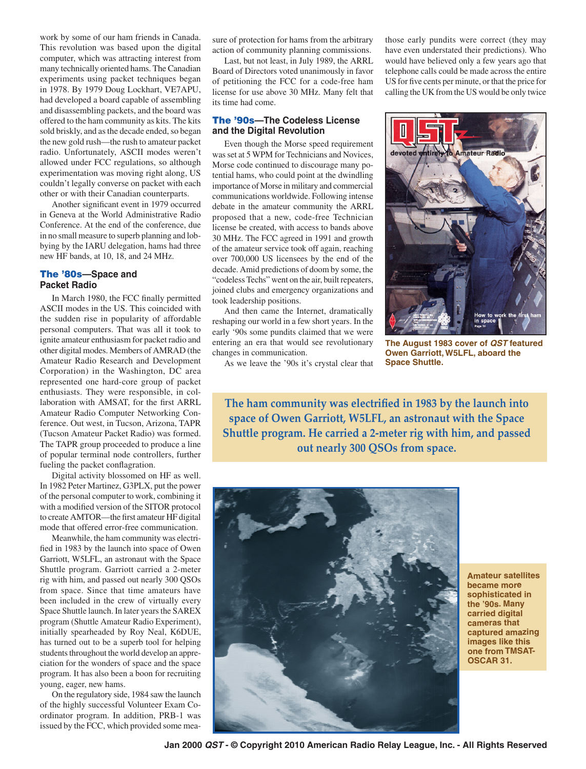work by some of our ham friends in Canada. This revolution was based upon the digital computer, which was attracting interest from many technically oriented hams. The Canadian experiments using packet techniques began in 1978. By 1979 Doug Lockhart, VE7APU, had developed a board capable of assembling and disassembling packets, and the board was offered to the ham community as kits. The kits sold briskly, and as the decade ended, so began the new gold rush—the rush to amateur packet radio. Unfortunately, ASCII modes weren't allowed under FCC regulations, so although experimentation was moving right along, US couldn't legally converse on packet with each other or with their Canadian counterparts.

Another significant event in 1979 occurred in Geneva at the World Administrative Radio Conference. At the end of the conference, due in no small measure to superb planning and lobbying by the IARU delegation, hams had three new HF bands, at 10, 18, and 24 MHz.

#### The '80s**—Space and Packet Radio**

In March 1980, the FCC finally permitted ASCII modes in the US. This coincided with the sudden rise in popularity of affordable personal computers. That was all it took to ignite amateur enthusiasm for packet radio and other digital modes. Members of AMRAD (the Amateur Radio Research and Development Corporation) in the Washington, DC area represented one hard-core group of packet enthusiasts. They were responsible, in collaboration with AMSAT, for the first ARRL Amateur Radio Computer Networking Conference. Out west, in Tucson, Arizona, TAPR (Tucson Amateur Packet Radio) was formed. The TAPR group proceeded to produce a line of popular terminal node controllers, further fueling the packet conflagration.

Digital activity blossomed on HF as well. In 1982 Peter Martinez, G3PLX, put the power of the personal computer to work, combining it with a modified version of the SITOR protocol to create AMTOR—the first amateur HF digital mode that offered error-free communication.

Meanwhile, the ham community was electrified in 1983 by the launch into space of Owen Garriott, W5LFL, an astronaut with the Space Shuttle program. Garriott carried a 2-meter rig with him, and passed out nearly 300 QSOs from space. Since that time amateurs have been included in the crew of virtually every Space Shuttle launch. In later years the SAREX program (Shuttle Amateur Radio Experiment), initially spearheaded by Roy Neal, K6DUE, has turned out to be a superb tool for helping students throughout the world develop an appreciation for the wonders of space and the space program. It has also been a boon for recruiting young, eager, new hams.

On the regulatory side, 1984 saw the launch of the highly successful Volunteer Exam Coordinator program. In addition, PRB-1 was issued by the FCC, which provided some mea-

sure of protection for hams from the arbitrary action of community planning commissions.

Last, but not least, in July 1989, the ARRL Board of Directors voted unanimously in favor of petitioning the FCC for a code-free ham license for use above 30 MHz. Many felt that its time had come.

#### The '90s**—The Codeless License and the Digital Revolution**

Even though the Morse speed requirement was set at 5 WPM for Technicians and Novices, Morse code continued to discourage many potential hams, who could point at the dwindling importance of Morse in military and commercial communications worldwide. Following intense debate in the amateur community the ARRL proposed that a new, code-free Technician license be created, with access to bands above 30 MHz. The FCC agreed in 1991 and growth of the amateur service took off again, reaching over 700,000 US licensees by the end of the decade. Amid predictions of doom by some, the "codeless Techs" went on the air, built repeaters, joined clubs and emergency organizations and took leadership positions.

And then came the Internet, dramatically reshaping our world in a few short years. In the early '90s some pundits claimed that we were entering an era that would see revolutionary changes in communication.

As we leave the '90s it's crystal clear that

those early pundits were correct (they may have even understated their predictions). Who would have believed only a few years ago that telephone calls could be made across the entire US for five cents per minute, or that the price for calling the UK from the US would be only twice



**The August 1983 cover of** *QST* **featured Owen Garriott, W5LFL, aboard the Space Shuttle.**

**The ham community was electrified in 1983 by the launch into space of Owen Garriott, W5LFL, an astronaut with the Space Shuttle program. He carried a 2-meter rig with him, and passed out nearly 300 QSOs from space.**



**Amateur satellites became more sophisticated in the '90s. Many carried digital cameras that captured amazing images like this one from TMSAT-OSCAR 31.**